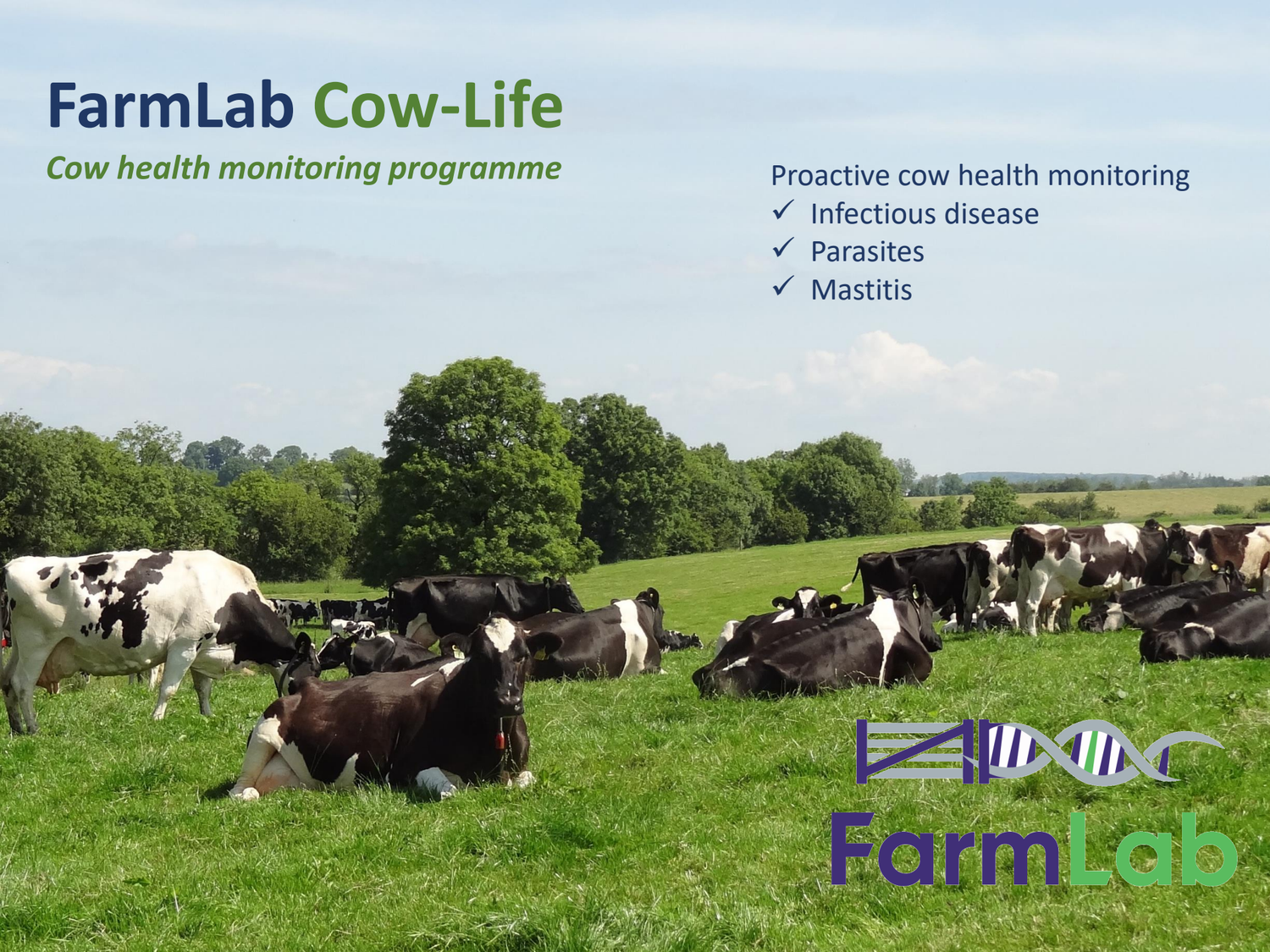## **FarmLab Cow-Life**

**Cow health monitoring programme Proactive cow health monitoring** 

ZIDAN

Fermie b

- ✓ Infectious disease
- ✓ Parasites
- ✓ Mastitis